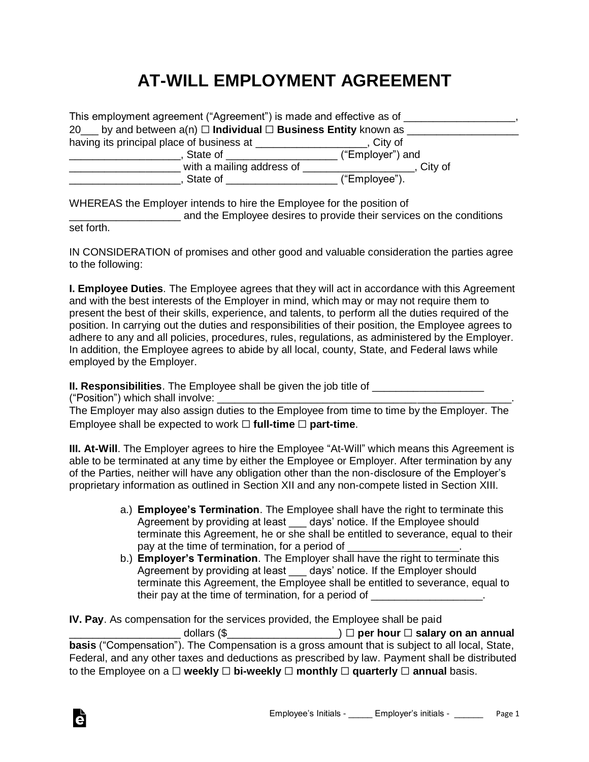## **AT-WILL EMPLOYMENT AGREEMENT**

| This employment agreement ("Agreement") is made and effective as of                                                                                                                                                                 |                  |
|-------------------------------------------------------------------------------------------------------------------------------------------------------------------------------------------------------------------------------------|------------------|
| 20 by and between $a(n)$ $\Box$ Individual $\Box$ Business Entity known as                                                                                                                                                          |                  |
| having its principal place of business at ________________                                                                                                                                                                          | City of          |
| State of the state of the state of the state of                                                                                                                                                                                     | ("Employer") and |
| with a mailing address of                                                                                                                                                                                                           | City of          |
| State of <b>State State</b> State State State State State State State State State State State State State State State State State State State State State State State State State State State State State State State State State S | ("Employee").    |

WHEREAS the Employer intends to hire the Employee for the position of

\_\_\_\_\_\_\_\_\_\_\_\_\_\_\_\_\_\_\_ and the Employee desires to provide their services on the conditions

set forth.

IN CONSIDERATION of promises and other good and valuable consideration the parties agree to the following:

**I. Employee Duties**. The Employee agrees that they will act in accordance with this Agreement and with the best interests of the Employer in mind, which may or may not require them to present the best of their skills, experience, and talents, to perform all the duties required of the position. In carrying out the duties and responsibilities of their position, the Employee agrees to adhere to any and all policies, procedures, rules, regulations, as administered by the Employer. In addition, the Employee agrees to abide by all local, county, State, and Federal laws while employed by the Employer.

**II. Responsibilities**. The Employee shall be given the job title of

("Position") which shall involve:

The Employer may also assign duties to the Employee from time to time by the Employer. The Employee shall be expected to work ☐ **full-time** ☐ **part-time**.

**III. At-Will**. The Employer agrees to hire the Employee "At-Will" which means this Agreement is able to be terminated at any time by either the Employee or Employer. After termination by any of the Parties, neither will have any obligation other than the non-disclosure of the Employer's proprietary information as outlined in Section XII and any non-compete listed in Section XIII.

- a.) **Employee's Termination**. The Employee shall have the right to terminate this Agreement by providing at least \_\_\_ days' notice. If the Employee should terminate this Agreement, he or she shall be entitled to severance, equal to their pay at the time of termination, for a period of
- b.) **Employer's Termination**. The Employer shall have the right to terminate this Agreement by providing at least \_\_\_ days' notice. If the Employer should terminate this Agreement, the Employee shall be entitled to severance, equal to their pay at the time of termination, for a period of \_\_\_\_\_\_\_\_\_\_\_\_\_\_\_\_\_\_\_\_\_\_\_\_\_\_

**IV. Pay**. As compensation for the services provided, the Employee shall be paid \_\_\_\_\_\_\_\_\_\_\_\_\_\_\_\_\_\_\_ dollars (\$\_\_\_\_\_\_\_\_\_\_\_\_\_\_\_\_\_\_\_) ☐ **per hour** ☐ **salary on an annual basis** ("Compensation"). The Compensation is a gross amount that is subject to all local, State, Federal, and any other taxes and deductions as prescribed by law. Payment shall be distributed to the Employee on a ☐ **weekly** ☐ **bi-weekly** ☐ **monthly** ☐ **quarterly** ☐ **annual** basis.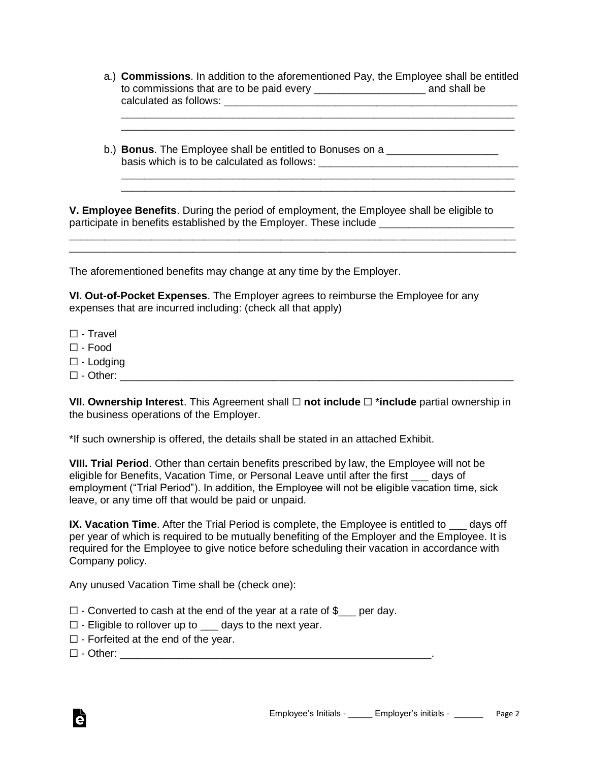a.) **Commissions**. In addition to the aforementioned Pay, the Employee shall be entitled to commissions that are to be paid every \_\_\_\_\_\_\_\_\_\_\_\_\_\_\_\_\_\_\_ and shall be calculated as follows: \_\_\_\_\_\_\_\_\_\_\_\_\_\_\_\_\_\_\_\_\_\_\_\_\_\_\_\_\_\_\_\_\_\_\_\_\_\_\_\_\_\_\_\_\_\_\_\_\_\_

\_\_\_\_\_\_\_\_\_\_\_\_\_\_\_\_\_\_\_\_\_\_\_\_\_\_\_\_\_\_\_\_\_\_\_\_\_\_\_\_\_\_\_\_\_\_\_\_\_\_\_\_\_\_\_\_\_\_\_\_\_\_\_\_\_\_\_ \_\_\_\_\_\_\_\_\_\_\_\_\_\_\_\_\_\_\_\_\_\_\_\_\_\_\_\_\_\_\_\_\_\_\_\_\_\_\_\_\_\_\_\_\_\_\_\_\_\_\_\_\_\_\_\_\_\_\_\_\_\_\_\_\_\_\_

\_\_\_\_\_\_\_\_\_\_\_\_\_\_\_\_\_\_\_\_\_\_\_\_\_\_\_\_\_\_\_\_\_\_\_\_\_\_\_\_\_\_\_\_\_\_\_\_\_\_\_\_\_\_\_\_\_\_\_\_\_\_\_\_\_\_\_ \_\_\_\_\_\_\_\_\_\_\_\_\_\_\_\_\_\_\_\_\_\_\_\_\_\_\_\_\_\_\_\_\_\_\_\_\_\_\_\_\_\_\_\_\_\_\_\_\_\_\_\_\_\_\_\_\_\_\_\_\_\_\_\_\_\_\_

b.) **Bonus**. The Employee shall be entitled to Bonuses on a basis which is to be calculated as follows:

**V. Employee Benefits**. During the period of employment, the Employee shall be eligible to participate in benefits established by the Employer. These include \_\_\_\_\_\_\_\_\_\_\_\_\_

\_\_\_\_\_\_\_\_\_\_\_\_\_\_\_\_\_\_\_\_\_\_\_\_\_\_\_\_\_\_\_\_\_\_\_\_\_\_\_\_\_\_\_\_\_\_\_\_\_\_\_\_\_\_\_\_\_\_\_\_\_\_\_\_\_\_\_\_\_\_\_\_\_\_\_\_

The aforementioned benefits may change at any time by the Employer.

**VI. Out-of-Pocket Expenses**. The Employer agrees to reimburse the Employee for any expenses that are incurred including: (check all that apply)

- ☐ Travel
- $\Box$  Food
- ☐ Lodging
- $\square$  Other:

**VII. Ownership Interest**. This Agreement shall ☐ **not include** ☐ \***include** partial ownership in the business operations of the Employer.

\*If such ownership is offered, the details shall be stated in an attached Exhibit.

**VIII. Trial Period**. Other than certain benefits prescribed by law, the Employee will not be eligible for Benefits, Vacation Time, or Personal Leave until after the first \_\_\_ days of employment ("Trial Period"). In addition, the Employee will not be eligible vacation time, sick leave, or any time off that would be paid or unpaid.

**IX. Vacation Time**. After the Trial Period is complete, the Employee is entitled to \_\_\_ days off per year of which is required to be mutually benefiting of the Employer and the Employee. It is required for the Employee to give notice before scheduling their vacation in accordance with Company policy.

Any unused Vacation Time shall be (check one):

- $\Box$  Converted to cash at the end of the year at a rate of  $\$\_\_$  per day.
- $\Box$  Eligible to rollover up to  $\Box$  days to the next year.
- $\Box$  Forfeited at the end of the year.

 $\Box$  - Other:

à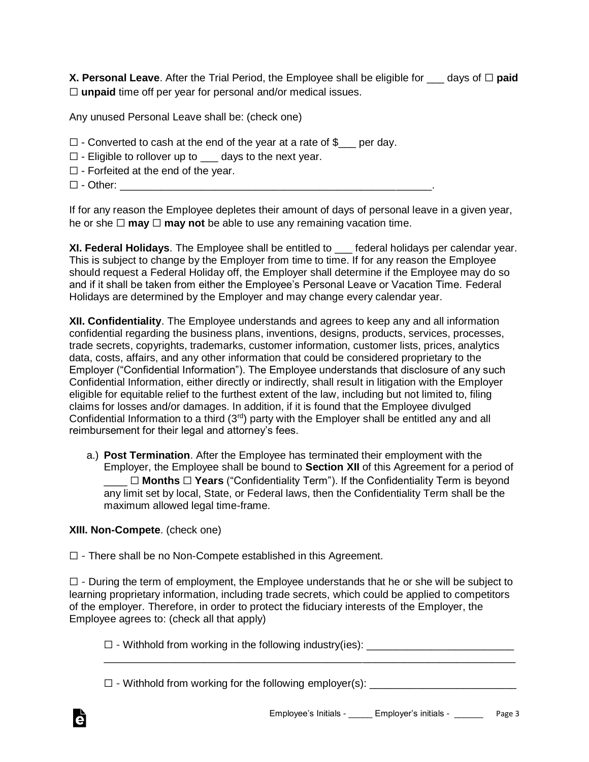**X. Personal Leave.** After the Trial Period, the Employee shall be eligible for days of □ **paid** ☐ **unpaid** time off per year for personal and/or medical issues.

Any unused Personal Leave shall be: (check one)

- $\Box$  Converted to cash at the end of the year at a rate of  $\$\_\_$  per day.
- $\Box$  Eligible to rollover up to  $\Box$  days to the next year.
- $\Box$  Forfeited at the end of the year.
- $\Box$  Other:

If for any reason the Employee depletes their amount of days of personal leave in a given year, he or she **□ may □ may not** be able to use any remaining vacation time.

**XI. Federal Holidays**. The Employee shall be entitled to \_\_\_ federal holidays per calendar year. This is subject to change by the Employer from time to time. If for any reason the Employee should request a Federal Holiday off, the Employer shall determine if the Employee may do so and if it shall be taken from either the Employee's Personal Leave or Vacation Time. Federal Holidays are determined by the Employer and may change every calendar year.

**XII. Confidentiality**. The Employee understands and agrees to keep any and all information confidential regarding the business plans, inventions, designs, products, services, processes, trade secrets, copyrights, trademarks, customer information, customer lists, prices, analytics data, costs, affairs, and any other information that could be considered proprietary to the Employer ("Confidential Information"). The Employee understands that disclosure of any such Confidential Information, either directly or indirectly, shall result in litigation with the Employer eligible for equitable relief to the furthest extent of the law, including but not limited to, filing claims for losses and/or damages. In addition, if it is found that the Employee divulged Confidential Information to a third (3<sup>rd</sup>) party with the Employer shall be entitled any and all reimbursement for their legal and attorney's fees.

a.) **Post Termination**. After the Employee has terminated their employment with the Employer, the Employee shall be bound to **Section XII** of this Agreement for a period of \_\_\_\_ ☐ **Months** ☐ **Years** ("Confidentiality Term"). If the Confidentiality Term is beyond any limit set by local, State, or Federal laws, then the Confidentiality Term shall be the maximum allowed legal time-frame.

## **XIII. Non-Compete**. (check one)

Ġ

☐ - There shall be no Non-Compete established in this Agreement.

☐ - During the term of employment, the Employee understands that he or she will be subject to learning proprietary information, including trade secrets, which could be applied to competitors of the employer. Therefore, in order to protect the fiduciary interests of the Employer, the Employee agrees to: (check all that apply)

□ - Withhold from working in the following industry(ies): \_\_\_\_\_\_\_\_\_\_\_\_\_\_\_\_\_\_\_\_\_\_ \_\_\_\_\_\_\_\_\_\_\_\_\_\_\_\_\_\_\_\_\_\_\_\_\_\_\_\_\_\_\_\_\_\_\_\_\_\_\_\_\_\_\_\_\_\_\_\_\_\_\_\_\_\_\_\_\_\_\_\_\_\_\_\_\_\_\_\_\_\_

 $\Box$  - Withhold from working for the following employer(s):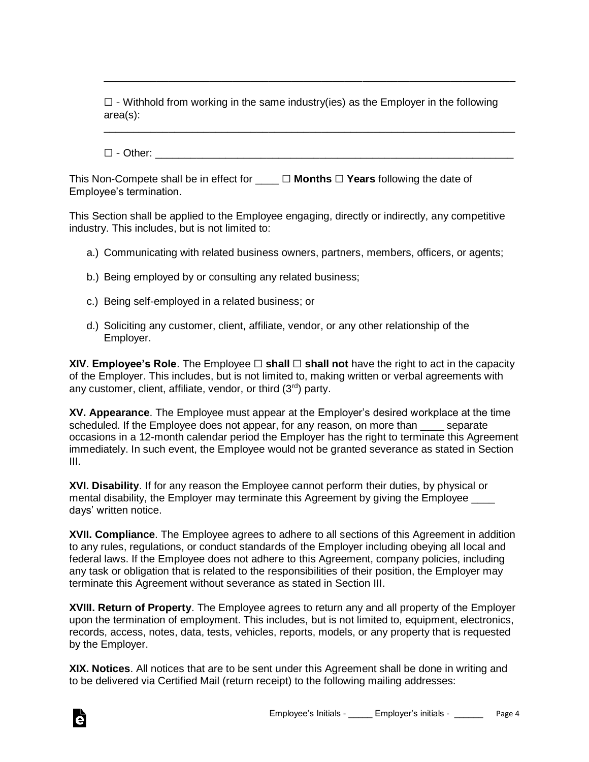$\square$  - Withhold from working in the same industry(ies) as the Employer in the following area(s):

\_\_\_\_\_\_\_\_\_\_\_\_\_\_\_\_\_\_\_\_\_\_\_\_\_\_\_\_\_\_\_\_\_\_\_\_\_\_\_\_\_\_\_\_\_\_\_\_\_\_\_\_\_\_\_\_\_\_\_\_\_\_\_\_\_\_\_\_\_\_

\_\_\_\_\_\_\_\_\_\_\_\_\_\_\_\_\_\_\_\_\_\_\_\_\_\_\_\_\_\_\_\_\_\_\_\_\_\_\_\_\_\_\_\_\_\_\_\_\_\_\_\_\_\_\_\_\_\_\_\_\_\_\_\_\_\_\_\_\_\_

 $\Box$  - Other:

This Non-Compete shall be in effect for \_\_\_\_ ☐ **Months** ☐ **Years** following the date of Employee's termination.

This Section shall be applied to the Employee engaging, directly or indirectly, any competitive industry. This includes, but is not limited to:

- a.) Communicating with related business owners, partners, members, officers, or agents;
- b.) Being employed by or consulting any related business;
- c.) Being self-employed in a related business; or
- d.) Soliciting any customer, client, affiliate, vendor, or any other relationship of the Employer.

**XIV. Employee's Role**. The Employee □ **shall** □ **shall not** have the right to act in the capacity of the Employer. This includes, but is not limited to, making written or verbal agreements with any customer, client, affiliate, vendor, or third (3rd) party.

**XV. Appearance**. The Employee must appear at the Employer's desired workplace at the time scheduled. If the Employee does not appear, for any reason, on more than separate occasions in a 12-month calendar period the Employer has the right to terminate this Agreement immediately. In such event, the Employee would not be granted severance as stated in Section III.

**XVI. Disability**. If for any reason the Employee cannot perform their duties, by physical or mental disability, the Employer may terminate this Agreement by giving the Employee days' written notice.

**XVII. Compliance**. The Employee agrees to adhere to all sections of this Agreement in addition to any rules, regulations, or conduct standards of the Employer including obeying all local and federal laws. If the Employee does not adhere to this Agreement, company policies, including any task or obligation that is related to the responsibilities of their position, the Employer may terminate this Agreement without severance as stated in Section III.

**XVIII. Return of Property**. The Employee agrees to return any and all property of the Employer upon the termination of employment. This includes, but is not limited to, equipment, electronics, records, access, notes, data, tests, vehicles, reports, models, or any property that is requested by the Employer.

**XIX. Notices**. All notices that are to be sent under this Agreement shall be done in writing and to be delivered via Certified Mail (return receipt) to the following mailing addresses: